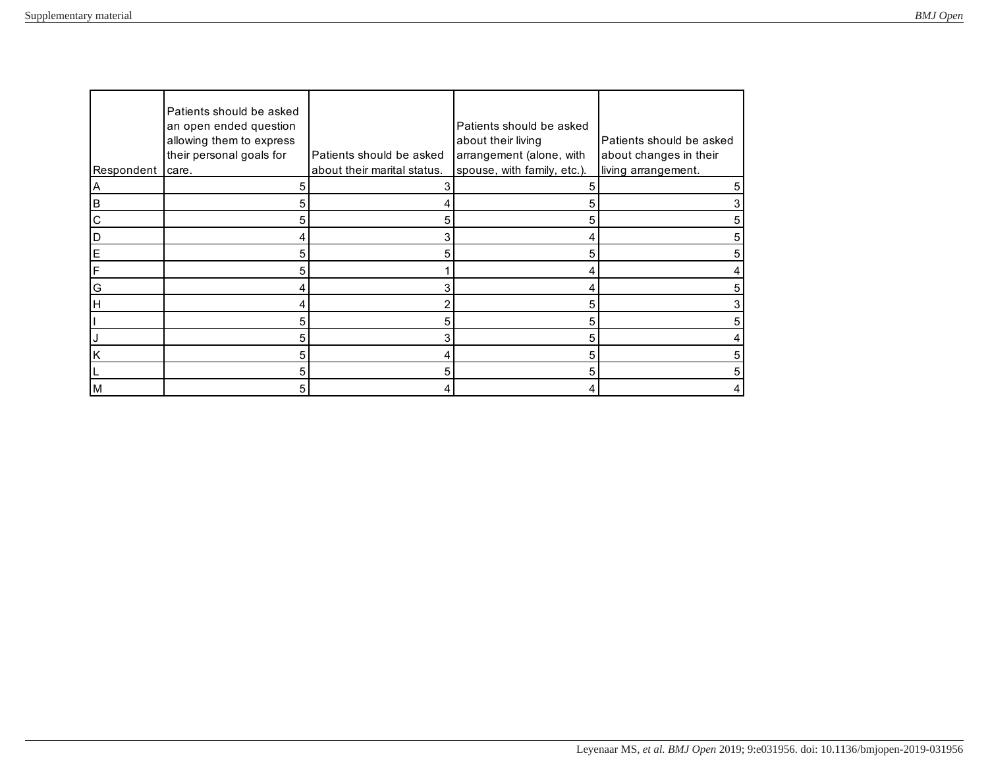| Respondent  | Patients should be asked<br>an open ended question<br>allowing them to express<br>their personal goals for<br>care. | Patients should be asked<br>about their marital status. | Patients should be asked<br>about their living<br>arrangement (alone, with<br>spouse, with family, etc.). | Patients should be asked<br>about changes in their<br>living arrangement. |
|-------------|---------------------------------------------------------------------------------------------------------------------|---------------------------------------------------------|-----------------------------------------------------------------------------------------------------------|---------------------------------------------------------------------------|
| ΙA          | 5                                                                                                                   |                                                         |                                                                                                           | 5                                                                         |
| B           | 5                                                                                                                   |                                                         | 5                                                                                                         |                                                                           |
| $\mathsf C$ | 5                                                                                                                   | 5                                                       | 5                                                                                                         |                                                                           |
| D           | 4                                                                                                                   |                                                         |                                                                                                           |                                                                           |
| $\mathsf E$ | 5                                                                                                                   | 5                                                       | 5                                                                                                         |                                                                           |
| F           | 5                                                                                                                   |                                                         |                                                                                                           |                                                                           |
| G           |                                                                                                                     |                                                         |                                                                                                           |                                                                           |
| H           |                                                                                                                     |                                                         | 5                                                                                                         |                                                                           |
|             | 5                                                                                                                   | 5                                                       | 5                                                                                                         |                                                                           |
|             | 5                                                                                                                   |                                                         | 5                                                                                                         |                                                                           |
| K           | 5                                                                                                                   |                                                         | 5                                                                                                         |                                                                           |
|             | 5                                                                                                                   |                                                         | 5                                                                                                         |                                                                           |
| M           | 5                                                                                                                   |                                                         |                                                                                                           |                                                                           |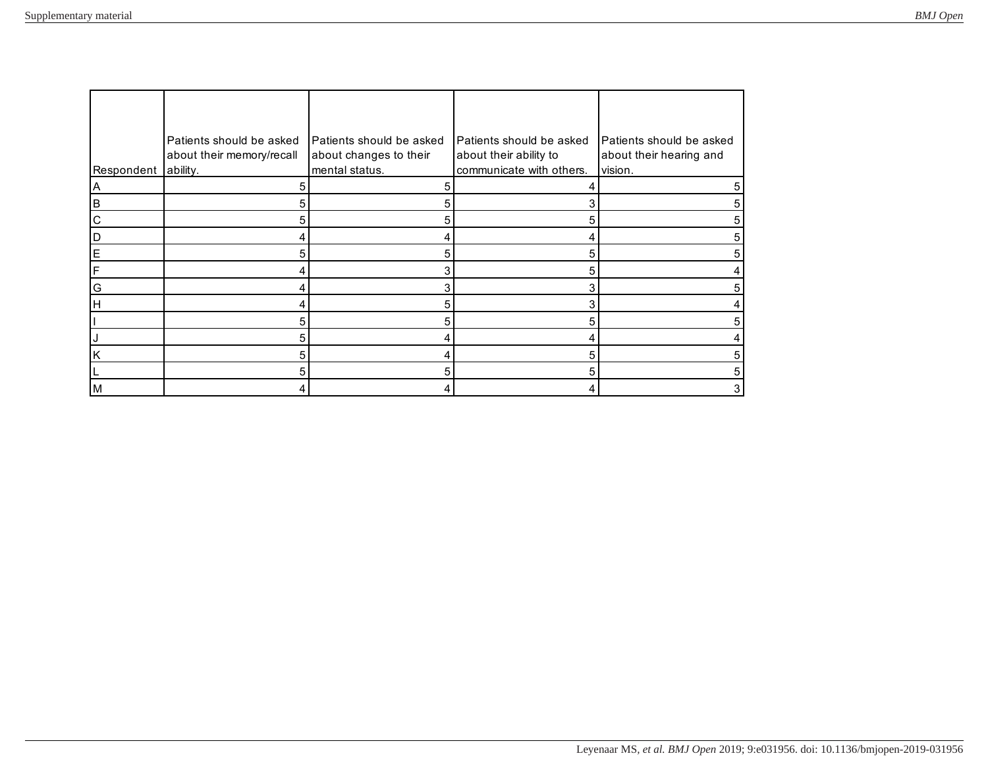| Respondent     | Patients should be asked<br>about their memory/recall<br>ability. | Patients should be asked<br>about changes to their<br>mental status. | Patients should be asked<br>about their ability to<br>communicate with others. | Patients should be asked<br>about their hearing and<br>vision. |
|----------------|-------------------------------------------------------------------|----------------------------------------------------------------------|--------------------------------------------------------------------------------|----------------------------------------------------------------|
| $\overline{A}$ | 5                                                                 | 5                                                                    |                                                                                | 5                                                              |
| $\overline{B}$ | 5                                                                 | 5                                                                    |                                                                                | 5                                                              |
| $\overline{C}$ | 5                                                                 | 5                                                                    | 5                                                                              | 5                                                              |
| $\mathsf D$    | 4                                                                 |                                                                      |                                                                                |                                                                |
| E              | 5                                                                 | 5                                                                    | 5                                                                              |                                                                |
| F              | 4                                                                 |                                                                      | 5                                                                              |                                                                |
| G              | 4                                                                 |                                                                      |                                                                                |                                                                |
| Iн             | 4                                                                 | 5                                                                    | 3                                                                              |                                                                |
|                | 5                                                                 | 5                                                                    | 5                                                                              |                                                                |
| IJ             | 5                                                                 |                                                                      |                                                                                |                                                                |
| k              | 5                                                                 |                                                                      | 5                                                                              | 5                                                              |
|                | 5                                                                 | 5                                                                    | 5                                                                              | 5                                                              |
| M              | 4                                                                 |                                                                      |                                                                                | 3                                                              |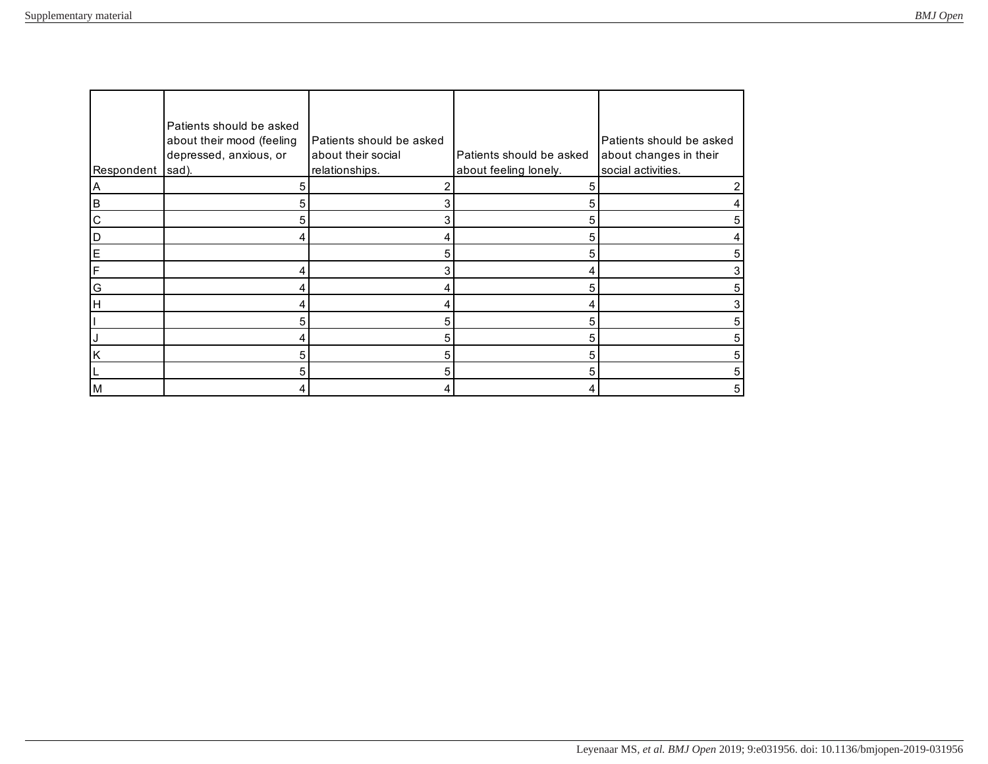| Respondent  | Patients should be asked<br>about their mood (feeling<br>depressed, anxious, or<br>sad). | Patients should be asked<br>about their social<br>relationships. | Patients should be asked<br>about feeling lonely. | Patients should be asked<br>about changes in their<br>social activities. |
|-------------|------------------------------------------------------------------------------------------|------------------------------------------------------------------|---------------------------------------------------|--------------------------------------------------------------------------|
| A           | 5                                                                                        |                                                                  |                                                   |                                                                          |
| B           | 5                                                                                        |                                                                  |                                                   |                                                                          |
| $\mathsf C$ | 5                                                                                        |                                                                  | 5                                                 |                                                                          |
| D           | 4                                                                                        |                                                                  | 5                                                 |                                                                          |
| E           |                                                                                          | 5                                                                | 5                                                 |                                                                          |
| IF.         |                                                                                          |                                                                  |                                                   |                                                                          |
| G           |                                                                                          |                                                                  | 5                                                 |                                                                          |
| H           | 4                                                                                        |                                                                  |                                                   |                                                                          |
|             | 5                                                                                        | 5                                                                | 5                                                 |                                                                          |
|             | 4                                                                                        | 5                                                                | 5                                                 |                                                                          |
| K           | 5                                                                                        | 5                                                                | 5                                                 | 5                                                                        |
|             | 5                                                                                        |                                                                  |                                                   | 5                                                                        |
| M           |                                                                                          |                                                                  |                                                   | 5                                                                        |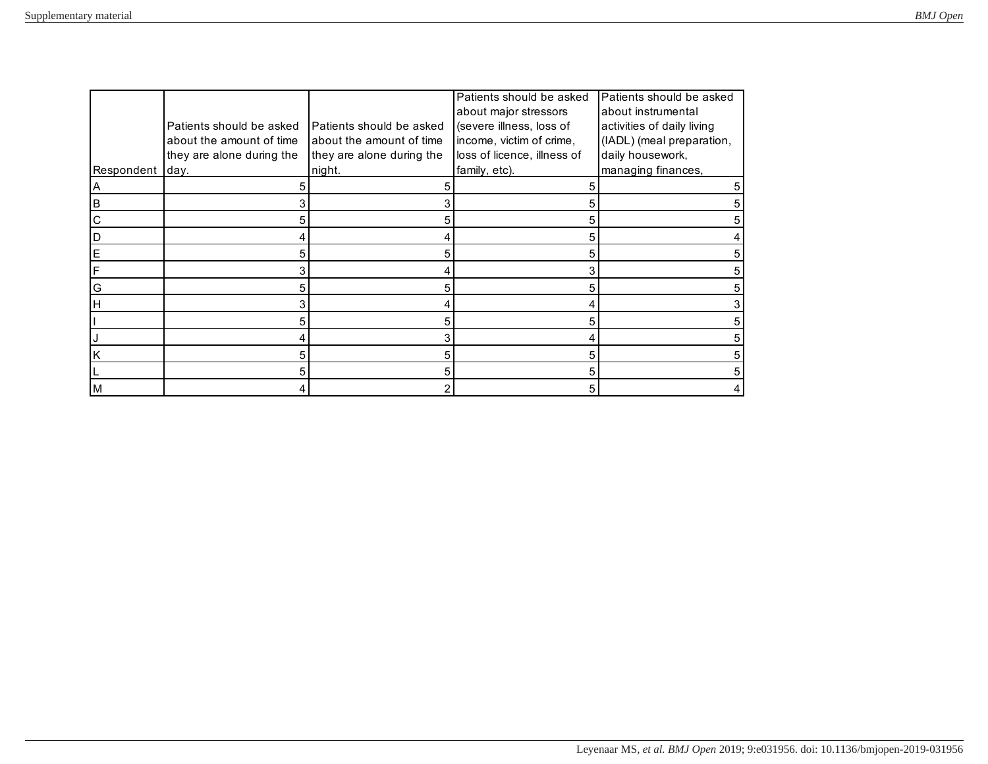|             |                           |                           | Patients should be asked    | Patients should be asked   |
|-------------|---------------------------|---------------------------|-----------------------------|----------------------------|
|             |                           |                           | about major stressors       | about instrumental         |
|             | Patients should be asked  | Patients should be asked  | (severe illness, loss of    | activities of daily living |
|             | about the amount of time  | about the amount of time  | income, victim of crime,    | (IADL) (meal preparation,  |
|             | they are alone during the | they are alone during the | loss of licence, illness of | daily housework,           |
| Respondent  | day.                      | night.                    | family, etc).               | managing finances,         |
| A           | 5                         |                           |                             |                            |
| B           | 3                         |                           | 5                           |                            |
| $\mathbf C$ | 5                         | 5                         | 5                           |                            |
| D           | 4                         |                           | 5                           |                            |
| $\mathsf E$ | 5                         |                           | 5                           |                            |
| F           | 3                         |                           |                             |                            |
| G           | 5                         |                           | 5                           |                            |
| H           | 3                         |                           |                             |                            |
|             | 5                         | 5                         | 5                           |                            |
|             | 4                         |                           |                             |                            |
| K           | 5                         | 5                         | 5                           |                            |
|             | 5                         | 5                         | 5                           |                            |
| M           |                           |                           | 5                           |                            |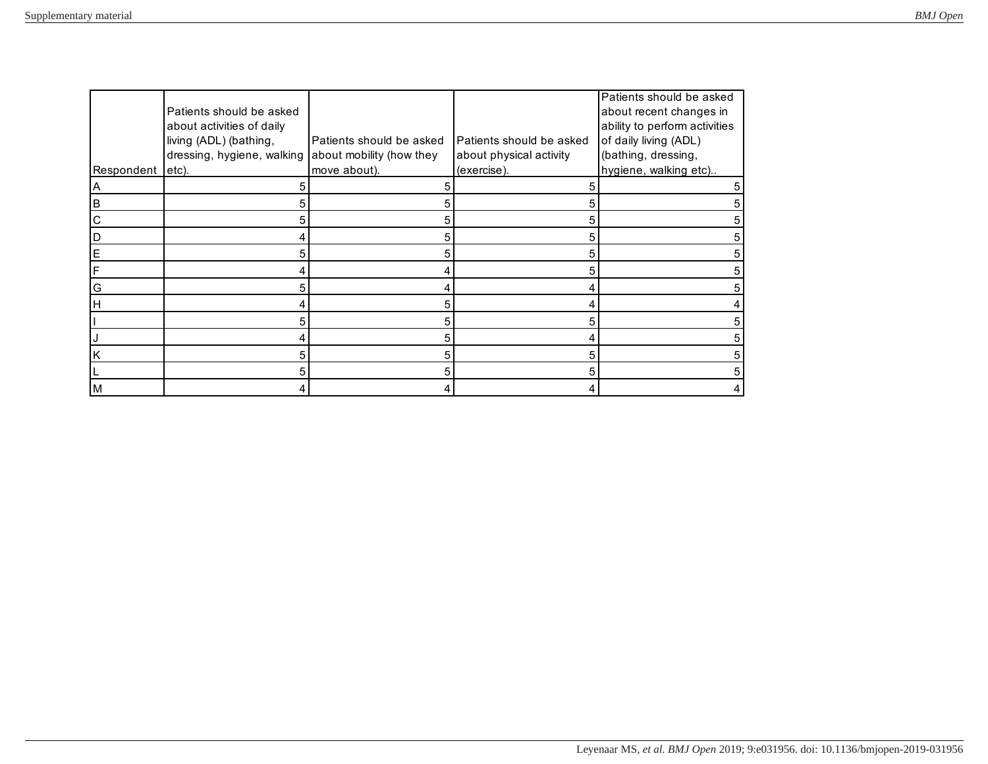|             |                            |                          |                          | Patients should be asked      |
|-------------|----------------------------|--------------------------|--------------------------|-------------------------------|
|             | Patients should be asked   |                          |                          | about recent changes in       |
|             | about activities of daily  |                          |                          | ability to perform activities |
|             | living (ADL) (bathing,     | Patients should be asked | Patients should be asked | of daily living (ADL)         |
|             | dressing, hygiene, walking | about mobility (how they | about physical activity  | (bathing, dressing,           |
| Respondent  | etc).                      | move about).             | (exercise).              | hygiene, walking etc)         |
| Α           | 5                          |                          |                          | 5                             |
| ΙB          | 5                          |                          |                          |                               |
| $\mathsf C$ | 5                          | 5                        | 5                        |                               |
| D           | 4                          | 5                        | 5                        |                               |
| E           | 5                          | 5                        |                          |                               |
| IF.         | 4                          |                          |                          |                               |
| G           | 5                          |                          |                          |                               |
| Iн          | 4                          | 5                        |                          |                               |
|             | 5                          | 5                        |                          |                               |
|             | 4                          | 5                        |                          |                               |
| K           | 5                          |                          |                          | 5                             |
|             | 5                          |                          |                          | 5                             |
| M           |                            |                          |                          |                               |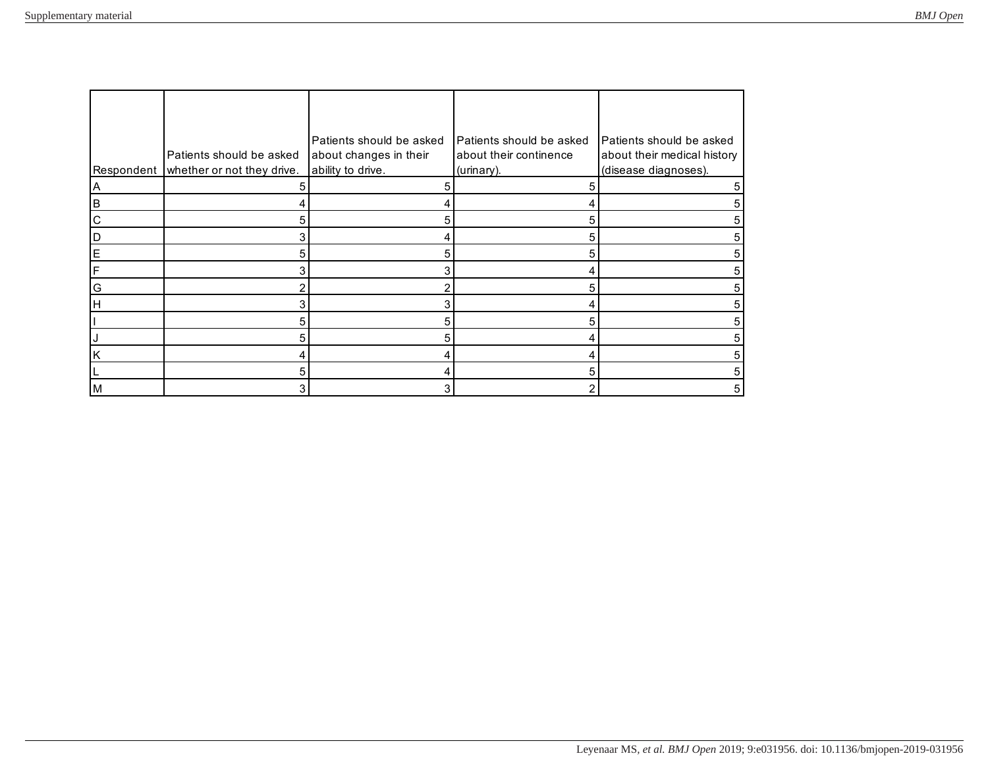|              | Patients should be asked   | Patients should be asked<br>about changes in their | Patients should be asked<br>about their continence | Patients should be asked<br>about their medical history |
|--------------|----------------------------|----------------------------------------------------|----------------------------------------------------|---------------------------------------------------------|
| Respondent   | whether or not they drive. | ability to drive.                                  | (urinary).                                         | (disease diagnoses).                                    |
| Α            | 5                          |                                                    |                                                    | 5                                                       |
| B            |                            |                                                    |                                                    |                                                         |
| $\mathsf{C}$ | 5                          | 5                                                  | h                                                  |                                                         |
| D            | 3                          |                                                    | 5                                                  |                                                         |
| E            | 5                          | 5                                                  | 5                                                  |                                                         |
| IF.          | 3                          |                                                    |                                                    |                                                         |
| G            | 2                          |                                                    | 5                                                  | 5                                                       |
| H            | 3                          |                                                    |                                                    |                                                         |
|              | 5                          | 5                                                  |                                                    |                                                         |
|              | 5                          | 5                                                  |                                                    | h.                                                      |
| K            | 4                          |                                                    |                                                    | 5                                                       |
|              | 5                          |                                                    |                                                    | 5                                                       |
| M            | 3                          |                                                    |                                                    | 5                                                       |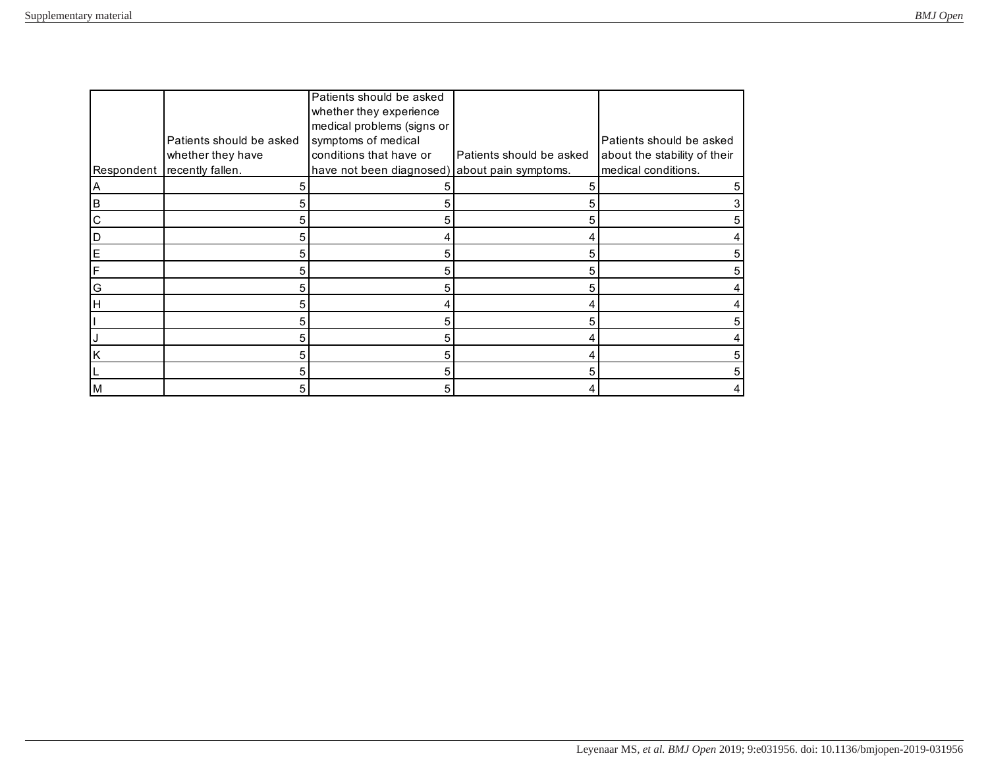|             |                          | Patients should be asked                      |                          |                              |
|-------------|--------------------------|-----------------------------------------------|--------------------------|------------------------------|
|             |                          | whether they experience                       |                          |                              |
|             |                          | medical problems (signs or                    |                          |                              |
|             | Patients should be asked | symptoms of medical                           |                          | Patients should be asked     |
|             | whether they have        | conditions that have or                       | Patients should be asked | about the stability of their |
| Respondent  | recently fallen.         | have not been diagnosed) about pain symptoms. |                          | medical conditions.          |
| A           | 5                        |                                               |                          |                              |
| B           | 5                        |                                               |                          |                              |
| $\mathsf C$ | 5                        | 5                                             | 5                        |                              |
| D           | 5                        |                                               |                          |                              |
| E           | 5                        | 5                                             | 5                        |                              |
| F           | 5                        | 5                                             | 5                        |                              |
| G           | 5                        |                                               | 5                        |                              |
| Iн          | 5                        |                                               |                          |                              |
|             | 5                        | 5                                             | 5                        |                              |
|             | 5                        | 5                                             |                          |                              |
| K           | 5                        | 5                                             |                          |                              |
|             | 5                        | 5                                             | 5                        |                              |
| M           | 5                        |                                               |                          |                              |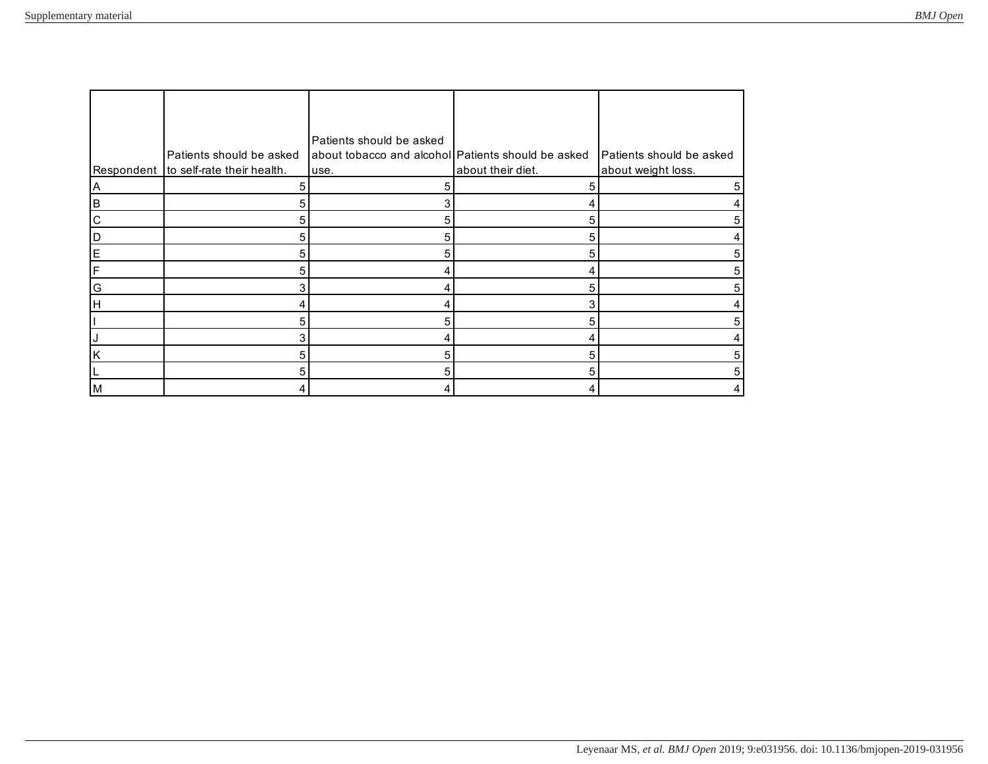|             |                                       | Patients should be asked                           |                   |                          |
|-------------|---------------------------------------|----------------------------------------------------|-------------------|--------------------------|
|             | Patients should be asked              | about tobacco and alcohol Patients should be asked |                   | Patients should be asked |
|             | Respondent to self-rate their health. | use.                                               | about their diet. | about weight loss.       |
| A           | 5                                     |                                                    |                   | 5                        |
| <b>B</b>    | 5                                     |                                                    |                   |                          |
| $\mathsf C$ | 5                                     | 5                                                  | 5                 | 5                        |
| D           | 5                                     | 5                                                  | 5                 |                          |
| E           | 5                                     | 5                                                  | 5                 |                          |
| F           | 5                                     |                                                    |                   |                          |
| G           | 3                                     |                                                    | 5                 |                          |
| Iн          | 4                                     |                                                    |                   |                          |
|             | 5                                     | 5                                                  | 5                 |                          |
|             | 3                                     |                                                    |                   |                          |
| K           | 5                                     | 5                                                  | 5                 | 5                        |
|             | 5                                     |                                                    |                   | 5                        |
| M           | 4                                     |                                                    |                   |                          |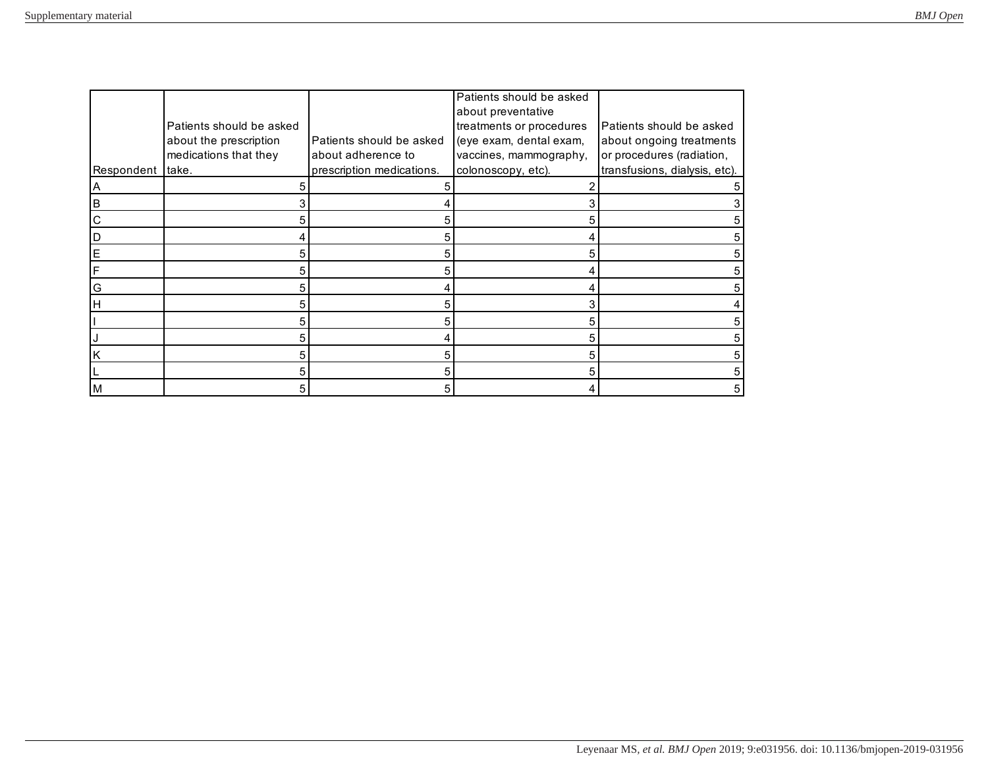|              |                          |                           | Patients should be asked |                               |
|--------------|--------------------------|---------------------------|--------------------------|-------------------------------|
|              |                          |                           | about preventative       |                               |
|              | Patients should be asked |                           | treatments or procedures | Patients should be asked      |
|              | about the prescription   | Patients should be asked  | (eye exam, dental exam,  | about ongoing treatments      |
|              | medications that they    | about adherence to        | vaccines, mammography,   | or procedures (radiation,     |
| Respondent   | take.                    | prescription medications. | colonoscopy, etc).       | transfusions, dialysis, etc). |
| ΙA           | 5                        |                           |                          |                               |
| B            |                          |                           |                          |                               |
| $\mathsf{C}$ | 5                        |                           |                          |                               |
| D            | 4                        |                           |                          |                               |
| E            | 5                        | 5                         | 5                        |                               |
| F            | 5                        | 5                         |                          |                               |
| G            | 5                        |                           |                          |                               |
| H            | 5                        |                           | з                        |                               |
|              | 5                        |                           | 5                        |                               |
|              | 5                        |                           |                          |                               |
| ΙK           | 5                        |                           | 5                        |                               |
|              | 5                        |                           |                          |                               |
| M            | 5                        |                           |                          |                               |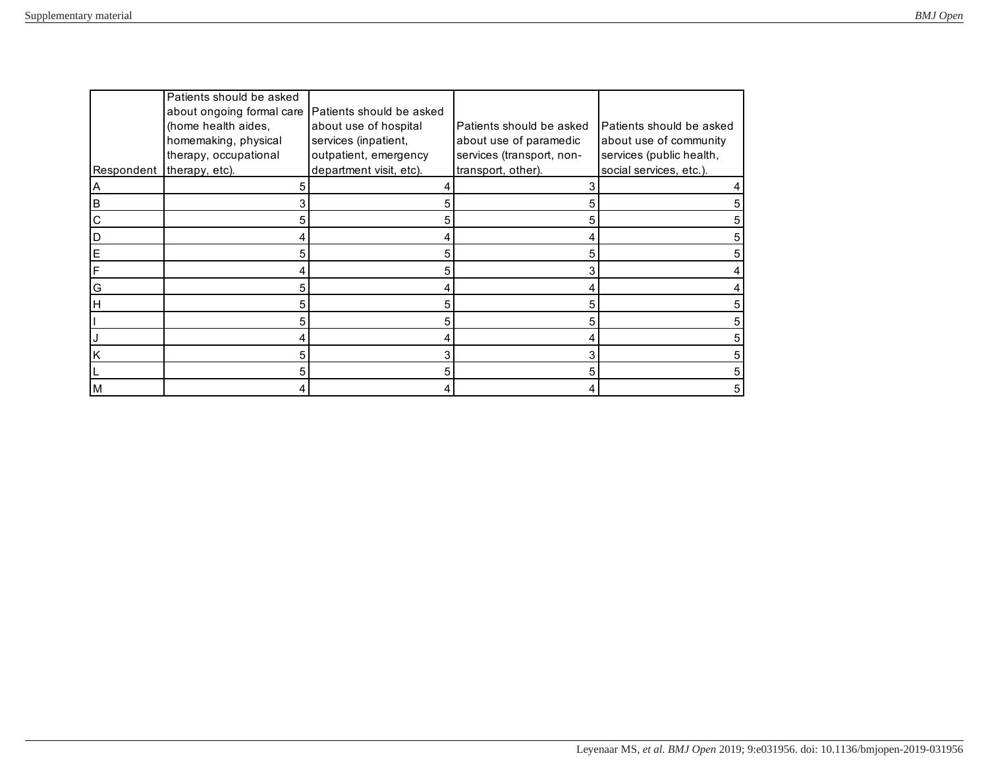|            | Patients should be asked  |                          |                           |                          |
|------------|---------------------------|--------------------------|---------------------------|--------------------------|
|            | about ongoing formal care | Patients should be asked |                           |                          |
|            | (home health aides,       | about use of hospital    | Patients should be asked  | Patients should be asked |
|            | homemaking, physical      | services (inpatient,     | about use of paramedic    | about use of community   |
|            | therapy, occupational     | outpatient, emergency    | services (transport, non- | services (public health, |
| Respondent | therapy, etc).            | department visit, etc).  | transport, other).        | social services, etc.).  |
| A          |                           |                          |                           |                          |
| B          |                           |                          |                           |                          |
| C          | 5                         |                          |                           |                          |
| D          |                           |                          |                           |                          |
| E          | 5                         | 5                        | 5                         |                          |
| F          |                           | 5                        | 3                         |                          |
| G          | 5                         |                          |                           |                          |
| н          | 5                         |                          |                           |                          |
|            | 5                         |                          |                           |                          |
|            | 4                         |                          |                           |                          |
| K          | 5                         |                          |                           |                          |
|            | 5                         |                          |                           |                          |
| M          |                           |                          |                           |                          |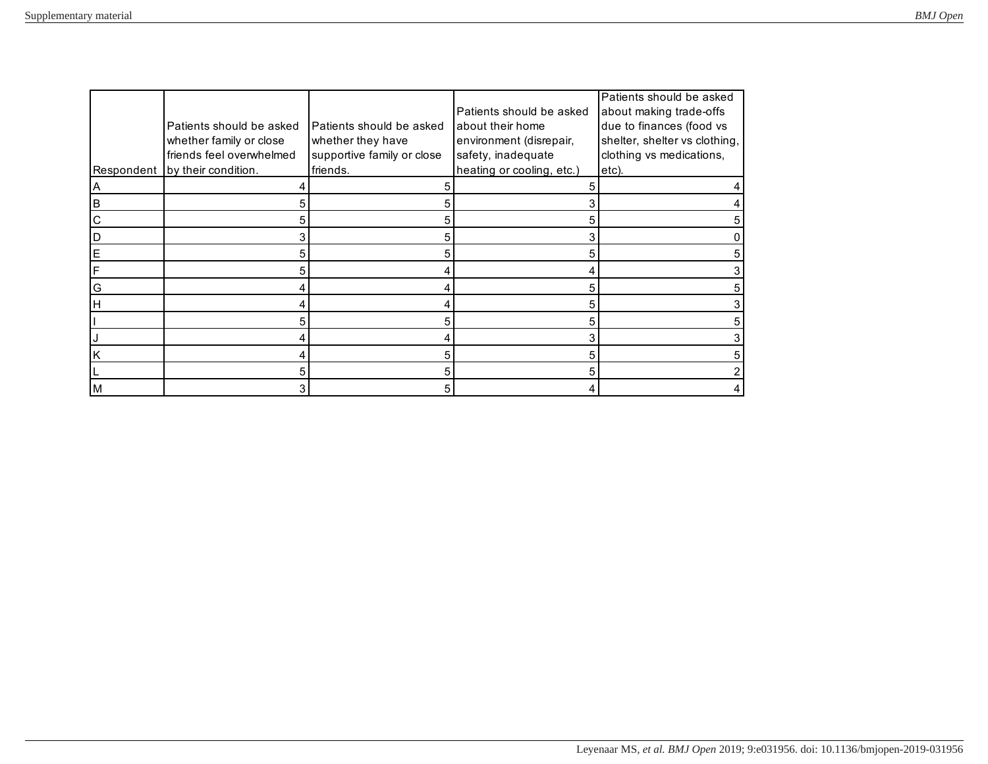|             | Patients should be asked<br>whether family or close | Patients should be asked<br>whether they have | Patients should be asked<br>about their home<br>environment (disrepair, | Patients should be asked<br>about making trade-offs<br>due to finances (food vs<br>shelter, shelter vs clothing, |
|-------------|-----------------------------------------------------|-----------------------------------------------|-------------------------------------------------------------------------|------------------------------------------------------------------------------------------------------------------|
|             | friends feel overwhelmed                            | supportive family or close                    | safety, inadequate                                                      | clothing vs medications,                                                                                         |
|             | Respondent by their condition.                      | friends.                                      | heating or cooling, etc.)                                               | etc).                                                                                                            |
| A           |                                                     |                                               |                                                                         |                                                                                                                  |
| B           | 5                                                   |                                               |                                                                         |                                                                                                                  |
| $\mathsf C$ | 5                                                   |                                               |                                                                         |                                                                                                                  |
| D           | 3                                                   |                                               |                                                                         |                                                                                                                  |
| E           | 5                                                   |                                               | 5                                                                       |                                                                                                                  |
| F           | 5                                                   |                                               |                                                                         |                                                                                                                  |
| G           |                                                     |                                               |                                                                         |                                                                                                                  |
| Iн          |                                                     |                                               |                                                                         |                                                                                                                  |
|             | 5                                                   |                                               |                                                                         |                                                                                                                  |
|             | 4                                                   |                                               |                                                                         |                                                                                                                  |
| K           | 4                                                   |                                               |                                                                         |                                                                                                                  |
|             | 5                                                   |                                               |                                                                         |                                                                                                                  |
| M           | 3                                                   |                                               |                                                                         |                                                                                                                  |